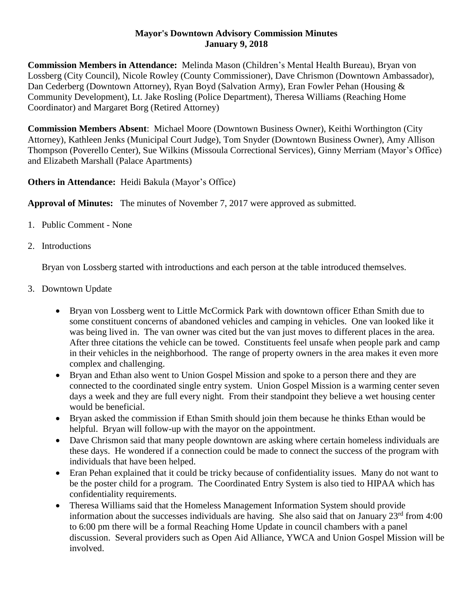## **Mayor's Downtown Advisory Commission Minutes January 9, 2018**

**Commission Members in Attendance:** Melinda Mason (Children's Mental Health Bureau), Bryan von Lossberg (City Council), Nicole Rowley (County Commissioner), Dave Chrismon (Downtown Ambassador), Dan Cederberg (Downtown Attorney), Ryan Boyd (Salvation Army), Eran Fowler Pehan (Housing & Community Development), Lt. Jake Rosling (Police Department), Theresa Williams (Reaching Home Coordinator) and Margaret Borg (Retired Attorney)

**Commission Members Absent**: Michael Moore (Downtown Business Owner), Keithi Worthington (City Attorney), Kathleen Jenks (Municipal Court Judge), Tom Snyder (Downtown Business Owner), Amy Allison Thompson (Poverello Center), Sue Wilkins (Missoula Correctional Services), Ginny Merriam (Mayor's Office) and Elizabeth Marshall (Palace Apartments)

**Others in Attendance:** Heidi Bakula (Mayor's Office)

**Approval of Minutes:** The minutes of November 7, 2017 were approved as submitted.

- 1. Public Comment None
- 2. Introductions

Bryan von Lossberg started with introductions and each person at the table introduced themselves.

- 3. Downtown Update
	- Bryan von Lossberg went to Little McCormick Park with downtown officer Ethan Smith due to some constituent concerns of abandoned vehicles and camping in vehicles. One van looked like it was being lived in. The van owner was cited but the van just moves to different places in the area. After three citations the vehicle can be towed. Constituents feel unsafe when people park and camp in their vehicles in the neighborhood. The range of property owners in the area makes it even more complex and challenging.
	- Bryan and Ethan also went to Union Gospel Mission and spoke to a person there and they are connected to the coordinated single entry system. Union Gospel Mission is a warming center seven days a week and they are full every night. From their standpoint they believe a wet housing center would be beneficial.
	- Bryan asked the commission if Ethan Smith should join them because he thinks Ethan would be helpful. Bryan will follow-up with the mayor on the appointment.
	- Dave Chrismon said that many people downtown are asking where certain homeless individuals are these days. He wondered if a connection could be made to connect the success of the program with individuals that have been helped.
	- Eran Pehan explained that it could be tricky because of confidentiality issues. Many do not want to be the poster child for a program. The Coordinated Entry System is also tied to HIPAA which has confidentiality requirements.
	- Theresa Williams said that the Homeless Management Information System should provide information about the successes individuals are having. She also said that on January  $23<sup>rd</sup>$  from 4:00 to 6:00 pm there will be a formal Reaching Home Update in council chambers with a panel discussion. Several providers such as Open Aid Alliance, YWCA and Union Gospel Mission will be involved.